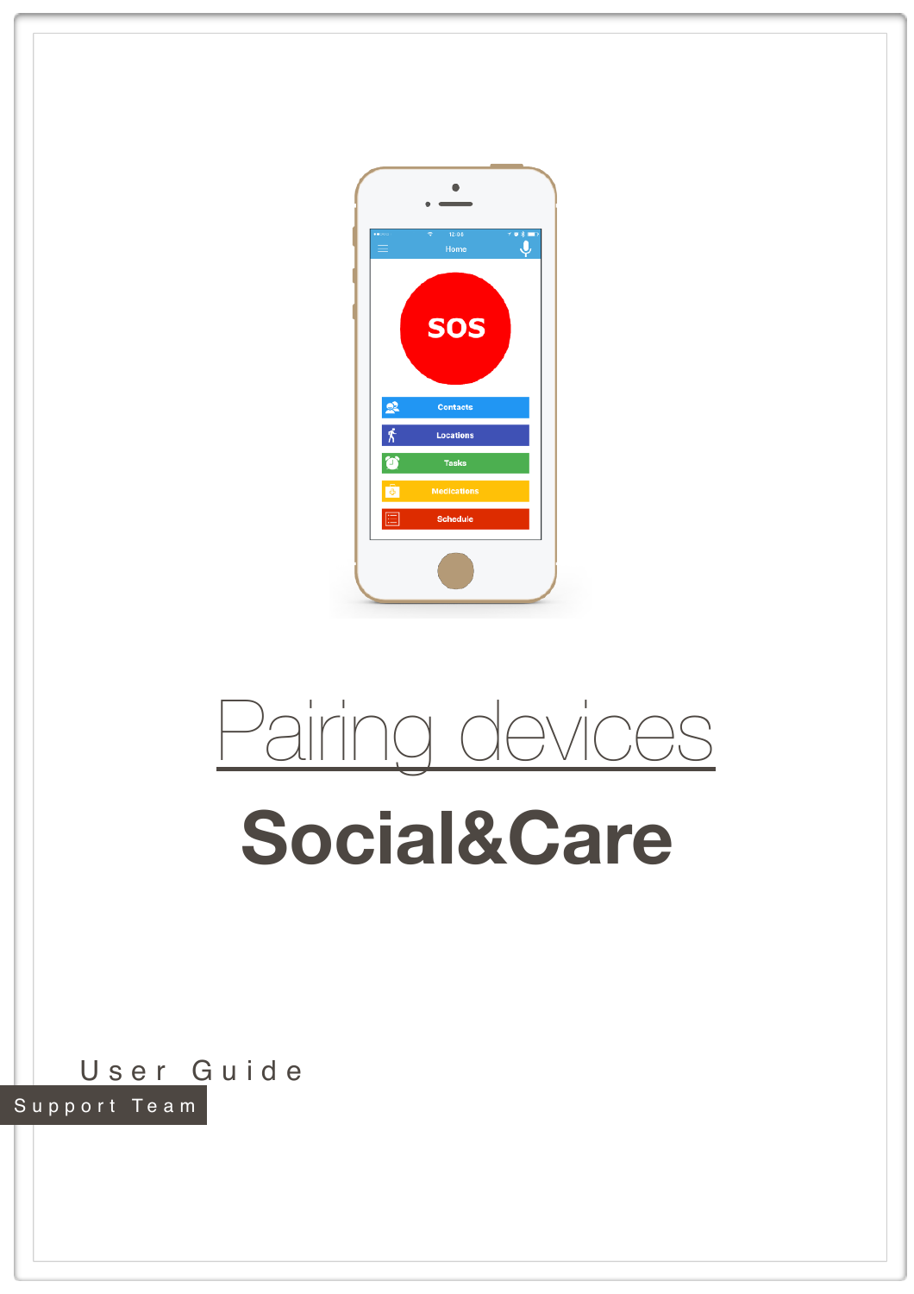



## **Social&Care**

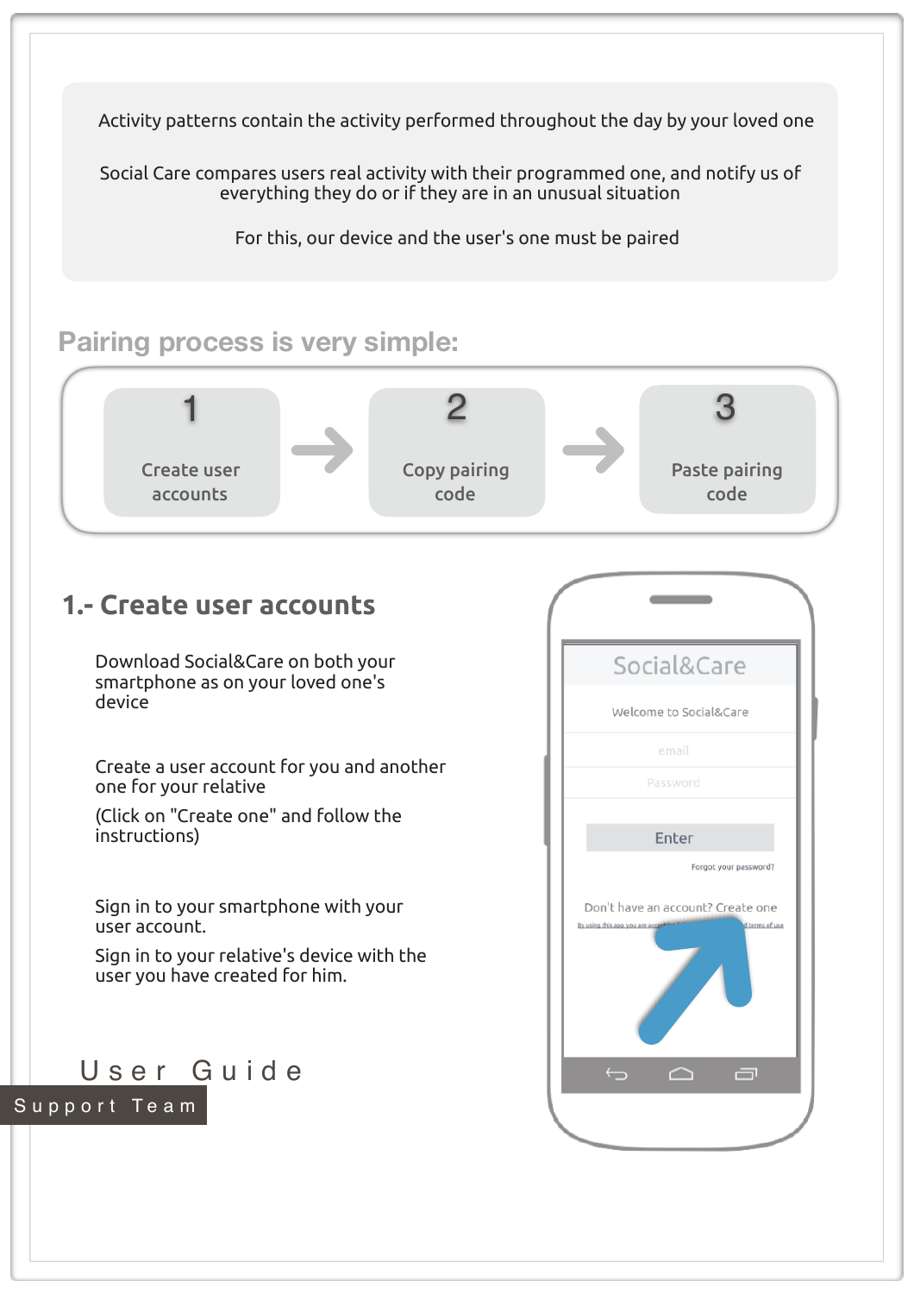Activity patterns contain the activity performed throughout the day by your loved one

Social Care compares users real activity with their programmed one, and notify us of everything they do or if they are in an unusual situation

For this, our device and the user's one must be paired

## **Pairing process is very simple:**

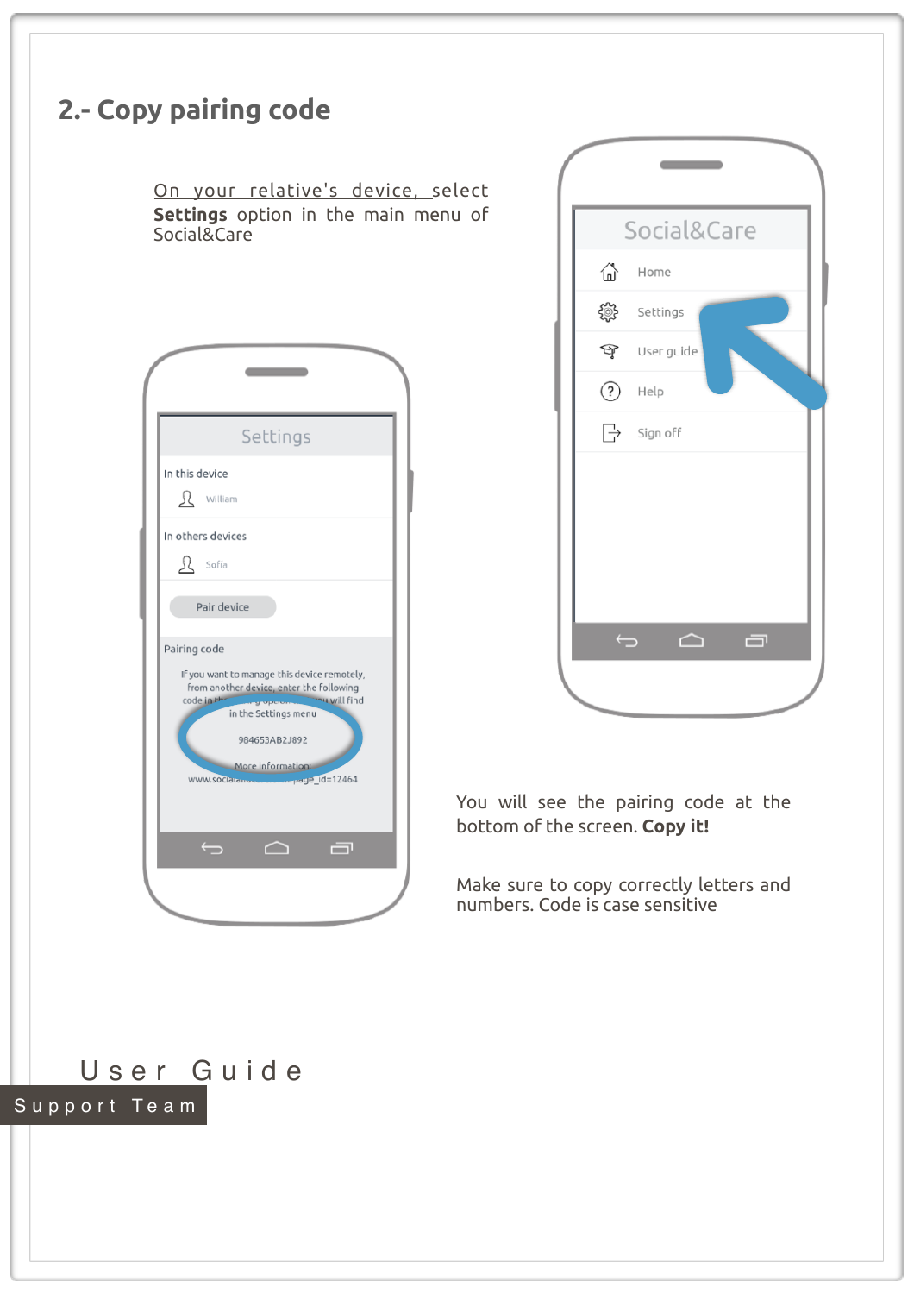## **2.- Copy pairing code** On your relative's device, select **Settings** option in the main menu of Social&Care <u>and the contract</u> Settings In this device R William In others devices  $\Omega$  sofía Pair device Pairing code If you want to manage this device remotely, from another device, enter the following u will find code in the in the Settings menu 984653AB2J892 More information: www.sociate  $ue$   $id=12464$  $\overline{\mathbf{C}}$  $\triangle$ 一



You will see the pairing code at the bottom of the screen. **Copy it!**

Make sure to copy correctly letters and numbers. Code is case sensitive

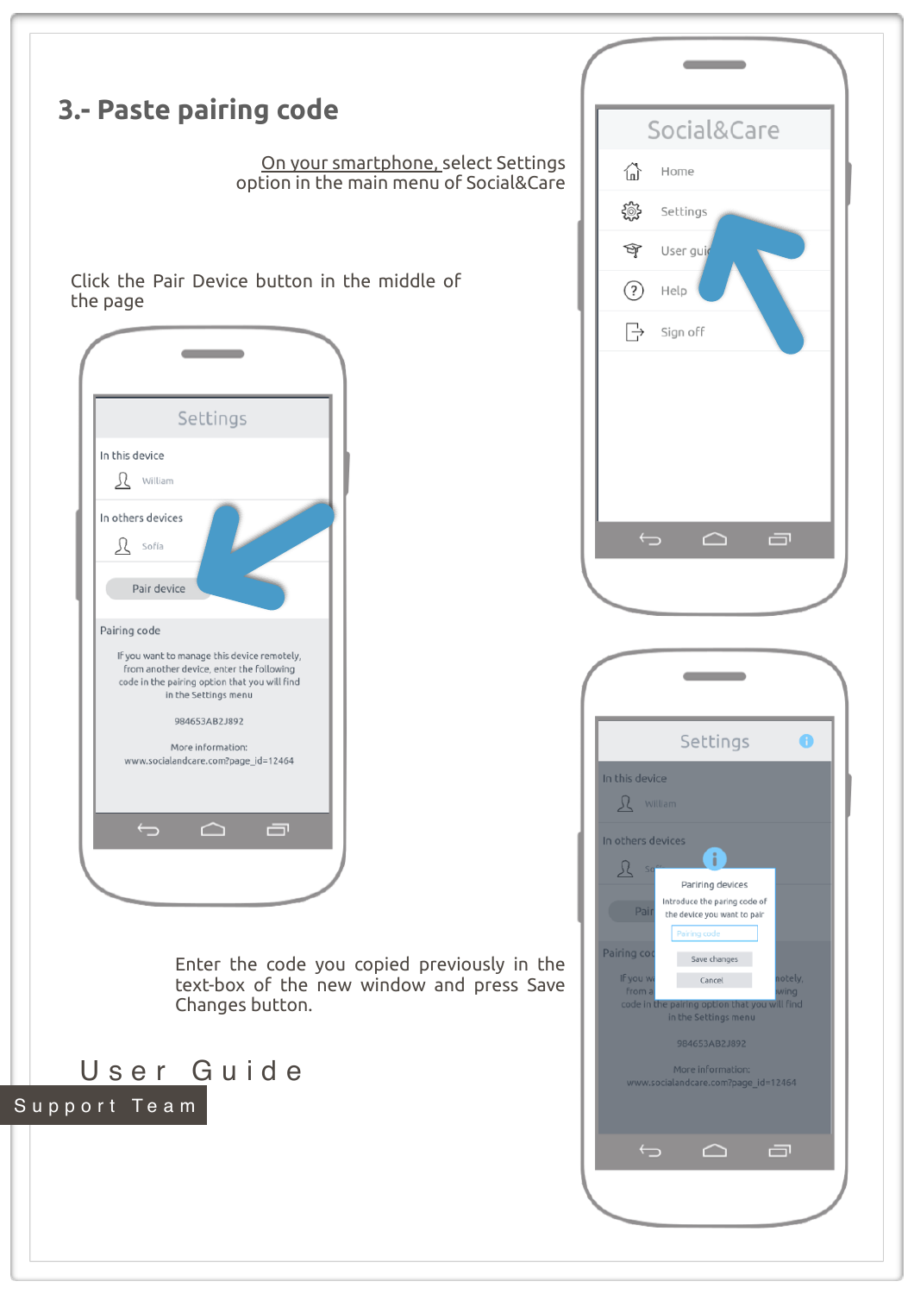